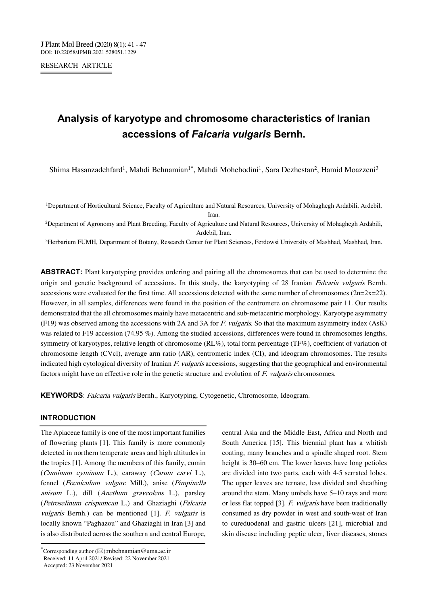RESEARCH ARTICLE

# **Analysis of karyotype and chromosome characteristics of Iranian accessions of** *Falcaria vulgaris* **Bernh.**

Shima Hasanzadehfard<sup>1</sup>, Mahdi Behnamian<sup>1\*</sup>, Mahdi Mohebodini<sup>1</sup>, Sara Dezhestan<sup>2</sup>, Hamid Moazzeni<sup>3</sup>

1Department of Horticultural Science, Faculty of Agriculture and Natural Resources, University of Mohaghegh Ardabili, Ardebil, Iran.

2Department of Agronomy and Plant Breeding, Faculty of Agriculture and Natural Resources, University of Mohaghegh Ardabili, Ardebil, Iran.

3Herbarium FUMH, Department of Botany, Research Center for Plant Sciences, Ferdowsi University of Mashhad, Mashhad, Iran.

**ABSTRACT:** Plant karyotyping provides ordering and pairing all the chromosomes that can be used to determine the origin and genetic background of accessions. In this study, the karyotyping of 28 Iranian Falcaria vulgaris Bernh. accessions were evaluated for the first time. All accessions detected with the same number of chromosomes ( $2n=2x=22$ ). However, in all samples, differences were found in the position of the centromere on chromosome pair 11. Our results demonstrated that the all chromosomes mainly have metacentric and sub-metacentric morphology. Karyotype asymmetry (F19) was observed among the accessions with 2A and 3A for F. vulgaris. So that the maximum asymmetry index  $(ASK)$ was related to F19 accession (74.95 %). Among the studied accessions, differences were found in chromosomes lengths, symmetry of karyotypes, relative length of chromosome (RL%), total form percentage (TF%), coefficient of variation of chromosome length (CVcl), average arm ratio (AR), centromeric index (CI), and ideogram chromosomes. The results indicated high cytological diversity of Iranian  $F.$  vulgaris accessions, suggesting that the geographical and environmental factors might have an effective role in the genetic structure and evolution of F. vulgaris chromosomes.

**KEYWORDS**: Falcaria vulgaris Bernh., Karyotyping, Cytogenetic, Chromosome, Ideogram.

## **INTRODUCTION**

--------------------------------------------------------------------------------- The Apiaceae family is one of the most important families of flowering plants [1]. This family is more commonly detected in northern temperate areas and high altitudes in the tropics [1]. Among the members of this family, cumin (Cuminum cyminum L.), caraway (Carum carvi L.), fennel (Foeniculum vulgare Mill.), anise (Pimpinella anisum L.), dill (Anethum graveolens L.), parsley (Petroselinum crispumcan L.) and Ghaziaghi (Falcaria vulgaris Bernh.) can be mentioned [1]. F. vulgaris is locally known "Paghazou" and Ghaziaghi in Iran [3] and is also distributed across the southern and central Europe, central Asia and the Middle East, Africa and North and South America [15]. This biennial plant has a whitish coating, many branches and a spindle shaped root. Stem height is 30–60 cm. The lower leaves have long petioles are divided into two parts, each with 4-5 serrated lobes. The upper leaves are ternate, less divided and sheathing around the stem. Many umbels have 5–10 rays and more or less flat topped [3]. F. vulgaris have been traditionally consumed as dry powder in west and south-west of Iran to cureduodenal and gastric ulcers [21], microbial and skin disease including peptic ulcer, liver diseases, stones

<sup>\*</sup>Corresponding author  $(\boxtimes)$ :mbehnamian@uma.ac.ir Received: 11 April 2021/ Revised: 22 November 2021 Accepted: 23 November 2021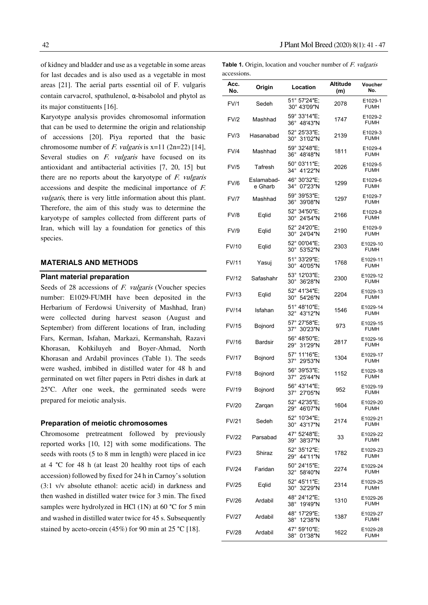of kidney and bladder and use as a vegetable in some areas for last decades and is also used as a vegetable in most areas [21]. The aerial parts essential oil of F. vulgaris contain carvacrol, spathulenol, α-bisabolol and phytol as its major constituents [16].

Karyotype analysis provides chromosomal information that can be used to determine the origin and relationship of accessions [20]. Piya reported that the basic chromosome number of F. vulgaris is  $x=11$  (2n=22) [14], Several studies on *F. vulgaris* have focused on its antioxidant and antibacterial activities [7, 20, 15] but there are no reports about the karyotype of  $F$ . *vulgaris* accessions and despite the medicinal importance of F. vulgaris, there is very little information about this plant. Therefore, the aim of this study was to determine the karyotype of samples collected from different parts of Iran, which will lay a foundation for genetics of this species.

#### **MATERIALS AND METHODS**

#### **Plant material preparation**

Seeds of 28 accessions of *F. vulgaris* (Voucher species number: E1029-FUMH have been deposited in the Herbarium of Ferdowsi University of Mashhad, Iran) were collected during harvest season (August and September) from different locations of Iran, including Fars, Kerman, Isfahan, Markazi, Kermanshah, Razavi Khorasan, Kohkiluyeh and Boyer-Ahmad, North Khorasan and Ardabil provinces (Table 1). The seeds were washed, imbibed in distilled water for 48 h and germinated on wet filter papers in Petri dishes in dark at 25°C. After one week, the germinated seeds were prepared for meiotic analysis.

#### **Preparation of meiotic chromosomes**

Chromosome pretreatment followed by previously reported works [10, 12] with some modifications. The seeds with roots (5 to 8 mm in length) were placed in ice at 4 °C for 48 h (at least 20 healthy root tips of each accession) followed by fixed for 24 h in Carnoy's solution (3:1 v/v absolute ethanol: acetic acid) in darkness and then washed in distilled water twice for 3 min. The fixed samples were hydrolyzed in HCl (1N) at 60 °C for 5 min and washed in distilled water twice for 45 s. Subsequently stained by aceto-orcein (45%) for 90 min at 25 °C [18].

**Table 1.** Origin, location and voucher number of *F. vulgaris* accessions.

| accessions.  |                       |                                       |                        |                         |
|--------------|-----------------------|---------------------------------------|------------------------|-------------------------|
| Acc.<br>No.  | Origin                | Location                              | <b>Altitude</b><br>(m) | Voucher<br>No.          |
| <b>FV/1</b>  | Sedeh                 | 51° 57'24"E;<br>30° 43'09"N           | 2078                   | E1029-1<br><b>FUMH</b>  |
| FV/2         | Mashhad               | 59° 33'14"E;<br>36° 48'43"N           | 1747                   | E1029-2<br><b>FUMH</b>  |
| FV/3         | Hasanabad             | 52° 25'33"E;<br>30°31′02″N            | 2139                   | E1029-3<br><b>FUMH</b>  |
| FV/4         | Mashhad               | 59° 32'48"E:<br>36° 48'48"N           | 1811                   | E1029-4<br><b>FUMH</b>  |
| <b>FV/5</b>  | Tafresh               | 50° 03'11"E:<br>34° 41'22"N           | 2026                   | E1029-5<br><b>FUMH</b>  |
| FV/6         | Eslamabad-<br>e Gharb | 46° 30'32"E;<br>34° 07'23"N           | 1299                   | E1029-6<br><b>FUMH</b>  |
| <b>FV/7</b>  | Mashhad               | 59° 39'53"E;<br>36° 39'08"N           | 1297                   | E1029-7<br><b>FUMH</b>  |
| FV/8         | Eqlid                 | 52° 34'50"E;<br>30° 24'54"N           | 2166                   | E1029-8<br><b>FUMH</b>  |
| <b>FV/9</b>  | Eqlid                 | 52° 24'20"E;<br>30° 24'04"N           | 2190                   | E1029-9<br><b>FUMH</b>  |
| FV/10        | Eqlid                 | 52° 00'04"E;<br>30° 53'52"N           | 2303                   | E1029-10<br><b>FUMH</b> |
| <b>FV/11</b> | Yasuj                 | 51° 33'29"E;<br>30° 40'05"N           | 1768                   | E1029-11<br><b>FUMH</b> |
| <b>FV/12</b> | Safashahr             | 53° 12'03"E:<br>30° 36'28"N           | 2300                   | E1029-12<br><b>FUMH</b> |
| FV/13        | Eqlid                 | 52° 41'34"E;<br>30° 54'26"N           | 2204                   | E1029-13<br><b>FUMH</b> |
| <b>FV/14</b> | Isfahan               | 51° 48'10"E;<br>32° 43'12"N           | 1546                   | E1029-14<br><b>FUMH</b> |
| <b>FV/15</b> | Bojnord               | 57° 27'58"E;<br>37° 30'23"N           | 973                    | E1029-15<br><b>FUMH</b> |
| FV/16        | <b>Bardsir</b>        | 56° 48'50"E;<br>29° 31'29"N           | 2817                   | E1029-16<br><b>FUMH</b> |
| <b>FV/17</b> | Bojnord               | 57° 11'16"E;<br>$37^\circ$<br>29'53"N | 1304                   | E1029-17<br><b>FUMH</b> |
| FV/18        | Bojnord               | 56° 39'53"E;<br>37° 25'44"N           | 1152                   | E1029-18<br><b>FUMH</b> |
| FV/19        | Bojnord               | 56° 43'14"E:<br>37° 27'05"N           | 952                    | E1029-19<br><b>FUMH</b> |
| <b>FV/20</b> | Zarqan                | 52° 42′35″E;<br>29° 46'07"N           | 1604                   | E1029-20<br><b>FUMH</b> |
| <b>FV/21</b> | Sedeh                 | 52° 10'34"E;<br>30° 43'17"N           | 2174                   | E1029-21<br><b>FUMH</b> |
| <b>FV/22</b> | Parsabad              | 47° 52'48"E;<br>39°38′37″N            | 33                     | E1029-22<br><b>FUMH</b> |
| <b>FV/23</b> | Shiraz                | 52° 35'12"E;<br>29° 44'11"N           | 1782                   | E1029-23<br><b>FUMH</b> |
| <b>FV/24</b> | Faridan               | 50° 24'15"E;<br>32° 58'40"N           | 2274                   | E1029-24<br><b>FUMH</b> |
| <b>FV/25</b> | Eqlid                 | 52° 45'11"E;<br>30° 32'29"N           | 2314                   | E1029-25<br><b>FUMH</b> |
| <b>FV/26</b> | Ardabil               | 48° 24'12"E:<br>38° 19'49"N           | 1310                   | E1029-26<br><b>FUMH</b> |
| FV/27        | Ardabil               | 48° 17'29"E;<br>38° 12'38"N           | 1387                   | E1029-27<br><b>FUMH</b> |
| FV/28        | Ardabil               | 47° 59'10"E;<br>38°01′38″N            | 1622                   | E1029-28<br><b>FUMH</b> |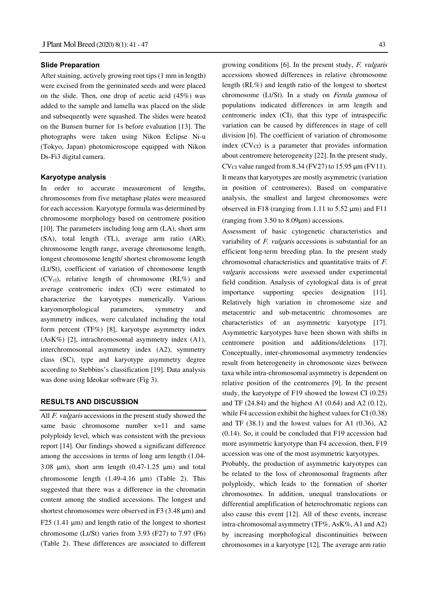#### **Slide Preparation**

After staining, actively growing root tips (1 mm in length) were excised from the germinated seeds and were placed on the slide. Then, one drop of acetic acid (45%) was added to the sample and lamella was placed on the slide and subsequently were squashed. The slides were heated on the Bunsen burner for 1s before evaluation [13]. The photographs were taken using Nikon Eclipse Ni-u (Tokyo, Japan) photomicroscope equipped with Nikon Ds-Fi3 digital camera.

#### **Karyotype analysis**

In order to accurate measurement of lengths, chromosomes from five metaphase plates were measured for each accession. Karyotype formula was determined by chromosome morphology based on centromere position [10]. The parameters including long arm (LA), short arm (SA), total length (TL), average arm ratio (AR), chromosome length range, average chromosome length, longest chromosome length/ shortest chromosome length (Lt/St), coefficient of variation of chromosome length  $(CV_{c1})$ , relative length of chromosome  $(RL\%)$  and average centromeric index (CI) were estimated to characterize the karyotypes numerically. Various karyomorphological parameters, symmetry and asymmetry indices, were calculated including the total form percent (TF%) [8], karyotype asymmetry index (AsK%) [2], intrachromosomal asymmetry index (A1), interchromosomal asymmetry index (A2), symmetry class (SC), type and karyotype asymmetry degree according to Stebbins's classification [19]. Data analysis was done using Ideokar software (Fig 3).

#### **RESULTS AND DISCUSSION**

All *F. vulgaris* accessions in the present study showed the same basic chromosome number  $x=11$  and same polyploidy level, which was consistent with the previous report [14]. Our findings showed a significant difference among the accessions in terms of long arm length (1.04- 3.08  $\mu$ m), short arm length (0.47-1.25  $\mu$ m) and total chromosome length  $(1.49-4.16 \mu m)$  (Table 2). This suggested that there was a difference in the chromatin content among the studied accessions. The longest and shortest chromosomes were observed in F3 (3.48 µm) and F25 (1.41  $\mu$ m) and length ratio of the longest to shortest chromosome (Lt/St) varies from 3.93 (F27) to 7.97 (F6) (Table 2). These differences are associated to different

growing conditions [6]. In the present study, F. vulgaris accessions showed differences in relative chromosome length (RL%) and length ratio of the longest to shortest chromosome (Lt/St). In a study on Ferula gumosa of populations indicated differences in arm length and centromeric index (CI), that this type of intraspecific variation can be caused by differences in stage of cell division [6]. The coefficient of variation of chromosome index  $(CV<sub>CI</sub>)$  is a parameter that provides information about centromere heterogeneity [22]. In the present study, CV $_{\text{CI}}$  value ranged from 8.34 (FV27) to 15.95  $\mu$ m (FV11). It means that karyotypes are mostly asymmetric (variation in position of centromeres). Based on comparative analysis, the smallest and largest chromosomes were observed in F18 (ranging from 1.11 to 5.52 μm) and F11 (ranging from 3.50 to 8.09μm) accessions.

Assessment of basic cytogenetic characteristics and variability of  $F.$  vulgaris accessions is substantial for an efficient long-term breeding plan. In the present study chromosomal characteristics and quantitative traits of F. vulgaris accessions were assessed under experimental field condition. Analysis of cytological data is of great importance supporting species designation [11]. Relatively high variation in chromosome size and metacentric and sub-metacentric chromosomes are characteristics of an asymmetric karyotype [17]. Asymmetric karyotypes have been shown with shifts in centromere position and additions/deletions [17]. Conceptually, inter-chromosomal asymmetry tendencies result from heterogeneity in chromosome sizes between taxa while intra-chromosomal asymmetry is dependent on relative position of the centromeres [9]. In the present study, the karyotype of F19 showed the lowest CI (0.25) and TF (24.84) and the highest A1 (0.64) and A2 (0.12), while F4 accession exhibit the highest values for CI (0.38) and TF (38.1) and the lowest values for A1 (0.36), A2 (0.14). So, it could be concluded that F19 accession had more asymmetric karyotype than F4 accession, then, F19 accession was one of the most asymmetric karyotypes.

Probably, the production of asymmetric karyotypes can be related to the loss of chromosomal fragments after polyploidy, which leads to the formation of shorter chromosomes. In addition, unequal translocations or differential amplification of heterochromatic regions can also cause this event [12]. All of these events, increase intra-chromosomal asymmetry (TF%, AsK%, A1 and A2) by increasing morphological discontinuities between chromosomes in a karyotype [12]. The average arm ratio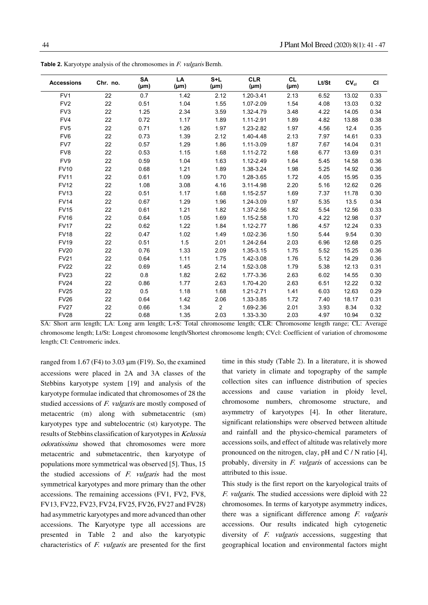| <b>Accessions</b> | Chr. no. | <b>SA</b><br>$(\mu m)$ | LA<br>$(\mu m)$ | $S+L$<br>$(\mu m)$ | <b>CLR</b><br>$(\mu m)$ | <b>CL</b><br>$(\mu m)$ | Lt/St | CV <sub>cl</sub> | <b>CI</b> |
|-------------------|----------|------------------------|-----------------|--------------------|-------------------------|------------------------|-------|------------------|-----------|
| FV1               | 22       | 0.7                    | 1.42            | 2.12               | 1.20-3.41               | 2.13                   | 6.52  | 13.02            | 0.33      |
| FV <sub>2</sub>   | 22       | 0.51                   | 1.04            | 1.55               | 1.07-2.09               | 1.54                   | 4.08  | 13.03            | 0.32      |
| FV3               | 22       | 1.25                   | 2.34            | 3.59               | 1.32-4.79               | 3.48                   | 4.22  | 14.05            | 0.34      |
| FV4               | 22       | 0.72                   | 1.17            | 1.89               | 1.11-2.91               | 1.89                   | 4.82  | 13.88            | 0.38      |
| FV <sub>5</sub>   | 22       | 0.71                   | 1.26            | 1.97               | 1.23-2.82               | 1.97                   | 4.56  | 12.4             | 0.35      |
| FV <sub>6</sub>   | 22       | 0.73                   | 1.39            | 2.12               | 1.40-4.48               | 2.13                   | 7.97  | 14.61            | 0.33      |
| FV7               | 22       | 0.57                   | 1.29            | 1.86               | 1.11-3.09               | 1.87                   | 7.67  | 14.04            | 0.31      |
| FV8               | 22       | 0.53                   | 1.15            | 1.68               | 1.11-2.72               | 1.68                   | 6.77  | 13.69            | 0.31      |
| FV9               | 22       | 0.59                   | 1.04            | 1.63               | 1.12-2.49               | 1.64                   | 5.45  | 14.58            | 0.36      |
| <b>FV10</b>       | 22       | 0.68                   | 1.21            | 1.89               | 1.38-3.24               | 1.98                   | 5.25  | 14.92            | 0.36      |
| <b>FV11</b>       | 22       | 0.61                   | 1.09            | 1.70               | 1.28-3.65               | 1.72                   | 4.05  | 15.95            | 0.35      |
| <b>FV12</b>       | 22       | 1.08                   | 3.08            | 4.16               | 3.11-4.98               | 2.20                   | 5.16  | 12.62            | 0.26      |
| <b>FV13</b>       | 22       | 0.51                   | 1.17            | 1.68               | 1.15-2.57               | 1.69                   | 7.37  | 11.78            | 0.30      |
| <b>FV14</b>       | 22       | 0.67                   | 1.29            | 1.96               | 1.24-3.09               | 1.97                   | 5.35  | 13.5             | 0.34      |
| <b>FV15</b>       | 22       | 0.61                   | 1.21            | 1.82               | 1.37-2.56               | 1.82                   | 5.54  | 12.56            | 0.33      |
| <b>FV16</b>       | 22       | 0.64                   | 1.05            | 1.69               | 1.15-2.58               | 1.70                   | 4.22  | 12.98            | 0.37      |
| <b>FV17</b>       | 22       | 0.62                   | 1.22            | 1.84               | 1.12-2.77               | 1.86                   | 4.57  | 12.24            | 0.33      |
| <b>FV18</b>       | 22       | 0.47                   | 1.02            | 1.49               | 1.02-2.36               | 1.50                   | 5.44  | 9.54             | 0.30      |
| <b>FV19</b>       | 22       | 0.51                   | 1.5             | 2.01               | 1.24-2.64               | 2.03                   | 6.96  | 12.68            | 0.25      |
| <b>FV20</b>       | 22       | 0.76                   | 1.33            | 2.09               | 1.35-3.15               | 1.75                   | 5.52  | 15.25            | 0.36      |
| <b>FV21</b>       | 22       | 0.64                   | 1.11            | 1.75               | 1.42-3.08               | 1.76                   | 5.12  | 14.29            | 0.36      |
| <b>FV22</b>       | 22       | 0.69                   | 1.45            | 2.14               | 1.52-3.08               | 1.79                   | 5.38  | 12.13            | 0.31      |
| <b>FV23</b>       | 22       | 0.8                    | 1.82            | 2.62               | 1.77-3.36               | 2.63                   | 6.02  | 14.55            | 0.30      |
| <b>FV24</b>       | 22       | 0.86                   | 1.77            | 2.63               | 1.70-4.20               | 2.63                   | 6.51  | 12.22            | 0.32      |
| <b>FV25</b>       | 22       | 0.5                    | 1.18            | 1.68               | 1.21-2.71               | 1.41                   | 6.03  | 12.63            | 0.29      |
| <b>FV26</b>       | 22       | 0.64                   | 1.42            | 2.06               | 1.33-3.85               | 1.72                   | 7.40  | 18.17            | 0.31      |
| <b>FV27</b>       | 22       | 0.66                   | 1.34            | $\overline{2}$     | 1.69-2.36               | 2.01                   | 3.93  | 8.34             | 0.32      |
| <b>FV28</b>       | 22       | 0.68                   | 1.35            | 2.03               | 1.33-3.30               | 2.03                   | 4.97  | 10.94            | 0.32      |

**Table 2.** Karyotype analysis of the chromosomes in *F. vulgaris* Bernh.

SA: Short arm length; LA: Long arm length; L+S: Total chromosome length; CLR: Chromosome length range; CL: Average chromosome length; Lt/St: Longest chromosome length/Shortest chromosome length; CVcl: Coefficient of variation of chromosome length; CI: Centromeric index.

ranged from 1.67 (F4) to 3.03  $\mu$ m (F19). So, the examined accessions were placed in 2A and 3A classes of the Stebbins karyotype system [19] and analysis of the karyotype formulae indicated that chromosomes of 28 the studied accessions of F. vulgaris are mostly composed of metacentric (m) along with submetacentric (sm) karyotypes type and subtelocentric (st) karyotype. The results of Stebbins classification of karyotypes in Kelussia odoratissima showed that chromosomes were more metacentric and submetacentric, then karyotype of populations more symmetrical was observed [5]. Thus, 15 the studied accessions of  $F.$  vulgaris had the most symmetrical karyotypes and more primary than the other accessions. The remaining accessions (FV1, FV2, FV8, FV13, FV22, FV23, FV24, FV25, FV26, FV27 and FV28) had asymmetric karyotypes and more advanced than other accessions. The Karyotype type all accessions are presented in Table 2 and also the karyotypic characteristics of F. vulgaris are presented for the first

time in this study (Table 2). In a literature, it is showed that variety in climate and topography of the sample collection sites can influence distribution of species accessions and cause variation in ploidy level, chromosome numbers, chromosome structure, and asymmetry of karyotypes [4]. In other literature, significant relationships were observed between altitude and rainfall and the physico-chemical parameters of accessions soils, and effect of altitude was relatively more pronounced on the nitrogen, clay, pH and C / N ratio [4], probably, diversity in F. vulgaris of accessions can be attributed to this issue.

This study is the first report on the karyological traits of F. vulgaris. The studied accessions were diploid with 22 chromosomes. In terms of karyotype asymmetry indices, there was a significant difference among  $F$ . vulgaris accessions. Our results indicated high cytogenetic diversity of F. vulgaris accessions, suggesting that geographical location and environmental factors might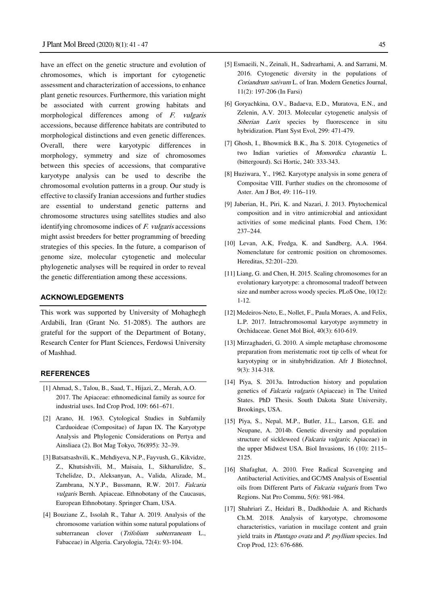have an effect on the genetic structure and evolution of chromosomes, which is important for cytogenetic assessment and characterization of accessions, to enhance plant genetic resources. Furthermore, this variation might be associated with current growing habitats and morphological differences among of F. vulgaris accessions, because difference habitats are contributed to morphological distinctions and even genetic differences. Overall, there were karyotypic differences in morphology, symmetry and size of chromosomes between this species of accessions, that comparative karyotype analysis can be used to describe the chromosomal evolution patterns in a group. Our study is effective to classify Iranian accessions and further studies are essential to understand genetic patterns and chromosome structures using satellites studies and also identifying chromosome indices of F. vulgaris accessions might assist breeders for better programming of breeding strategies of this species. In the future, a comparison of genome size, molecular cytogenetic and molecular phylogenetic analyses will be required in order to reveal the genetic differentiation among these accessions.

### **ACKNOWLEDGEMENTS**

This work was supported by University of Mohaghegh Ardabili, Iran (Grant No. 51-2085). The authors are grateful for the support of the Department of Botany, Research Center for Plant Sciences, Ferdowsi University of Mashhad.

## **REFERENCES**

- [1] Ahmad, S., Talou, B., Saad, T., Hijazi, Z., Merah, A.O. 2017. The Apiaceae: ethnomedicinal family as source for industrial uses. Ind Crop Prod, 109: 661–671.
- [2] Arano, H. 1963. Cytological Studies in Subfamily Carduoideae (Compositae) of Japan IX. The Karyotype Analysis and Phylogenic Considerations on Pertya and Ainsliaea (2). Bot Mag Tokyo, 76(895): 32–39.
- [3] Batsatsashvili, K., Mehdiyeva, N.P., Fayvush, G., Kikvidze, Z., Khutsishvili, M., Maisaia, I., Sikharulidze, S., Tchelidze, D., Aleksanyan, A., Valida, Alizade, M., Zambrana, N.Y.P., Bussmann, R.W. 2017. Falcaria vulgaris Bernh. Apiaceae. Ethnobotany of the Caucasus, European Ethnobotany. Springer Cham, USA.
- [4] Bouziane Z., Issolah R., Tahar A. 2019. Analysis of the chromosome variation within some natural populations of subterranean clover (Trifolium subterraneum L., Fabaceae) in Algeria. Caryologia, 72(4): 93-104.
- [5] Esmaeili, N., Zeinali, H., Sadrearhami, A. and Sarrami, M. 2016. Cytogenetic diversity in the populations of Coriandrum sativum L. of Iran. Modern Genetics Journal, 11(2): 197-206 (In Farsi)
- [6] Goryachkina, O.V., Badaeva, E.D., Muratova, E.N., and Zelenin, A.V. 2013. Molecular cytogenetic analysis of Siberian Larix species by fluorescence in situ hybridization. Plant Syst Evol, 299: 471-479.
- [7] Ghosh, I., Bhowmick B.K., Jha S. 2018. Cytogenetics of two Indian varieties of Momordica charantia L. (bittergourd). Sci Hortic, 240: 333-343.
- [8] Huziwara, Y., 1962. Karyotype analysis in some genera of Compositae VIII. Further studies on the chromosome of Aster. Am J Bot, 49: 116–119.
- [9] Jaberian, H., Piri, K. and Nazari, J. 2013. Phytochemical composition and in vitro antimicrobial and antioxidant activities of some medicinal plants. Food Chem, 136: 237–244.
- [10] Levan, A.K, Fredga, K. and Sandberg, A.A. 1964. Nomenclature for centromic position on chromosomes. Hereditas, 52:201–220.
- [11] Liang, G. and Chen, H. 2015. Scaling chromosomes for an evolutionary karyotype: a chromosomal tradeoff between size and number across woody species. PLoS One, 10(12): 1-12.
- [12] Medeiros-Neto, E., Nollet, F., Paula Moraes, A. and Felix, L.P. 2017. Intrachromosomal karyotype asymmetry in Orchidaceae. Genet Mol Biol, 40(3): 610-619.
- [13] Mirzaghaderi, G. 2010. A simple metaphase chromosome preparation from meristematic root tip cells of wheat for karyotyping or in situhybridization. Afr J Biotechnol, 9(3): 314-318.
- [14] Piya, S. 2013a. Introduction history and population genetics of Falcaria vulgaris (Apiaceae) in The United States. PhD Thesis. South Dakota State University, Brookings, USA.
- [15] Piya, S., Nepal, M.P., Butler, J.L., Larson, G.E. and Neupane, A. 2014b. Genetic diversity and population structure of sickleweed (Falcaria vulgaris; Apiaceae) in the upper Midwest USA. Biol Invasions, 16 (10): 2115– 2125.
- [16] Shafaghat, A. 2010. Free Radical Scavenging and Antibacterial Activities, and GC/MS Analysis of Essential oils from Different Parts of Falcaria vulgaris from Two Regions. Nat Pro Commu, 5(6): 981-984.
- [17] Shahriari Z., Heidari B., Dadkhodaie A. and Richards Ch.M. 2018. Analysis of karyotype, chromosome characteristics, variation in mucilage content and grain yield traits in Plantago ovata and P. psyllium species. Ind Crop Prod, 123: 676-686.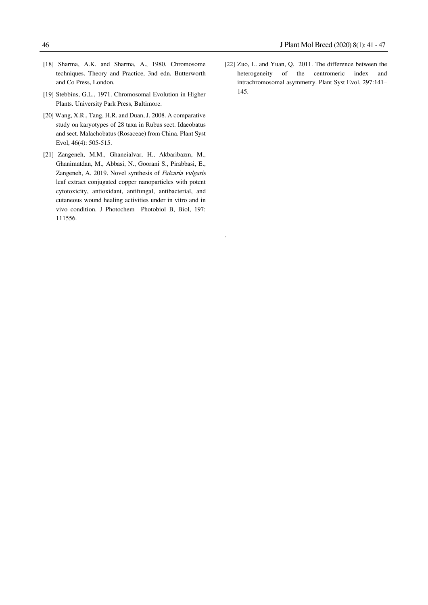- [18] Sharma, A.K. and Sharma, A., 1980. Chromosome techniques. Theory and Practice, 3nd edn. Butterworth and Co Press, London.
- [19] Stebbins, G.L., 1971. Chromosomal Evolution in Higher Plants. University Park Press, Baltimore.
- [20] Wang, X.R., Tang, H.R. and Duan, J. 2008. A comparative study on karyotypes of 28 taxa in Rubus sect. Idaeobatus and sect. Malachobatus (Rosaceae) from China. Plant Syst Evol, 46(4): 505-515.
- [21] Zangeneh, M.M., Ghaneialvar, H., Akbaribazm, M., Ghanimatdan, M., Abbasi, N., Goorani S., Pirabbasi, E., Zangeneh, A. 2019. Novel synthesis of Falcaria vulgaris leaf extract conjugated copper nanoparticles with potent cytotoxicity, antioxidant, antifungal, antibacterial, and cutaneous wound healing activities under in vitro and in vivo condition. J Photochem Photobiol B, Biol, 197: 111556.

.

[22] Zuo, L. and Yuan, Q. 2011. The difference between the heterogeneity of the centromeric index and intrachromosomal asymmetry. Plant Syst Evol, 297:141– 145.